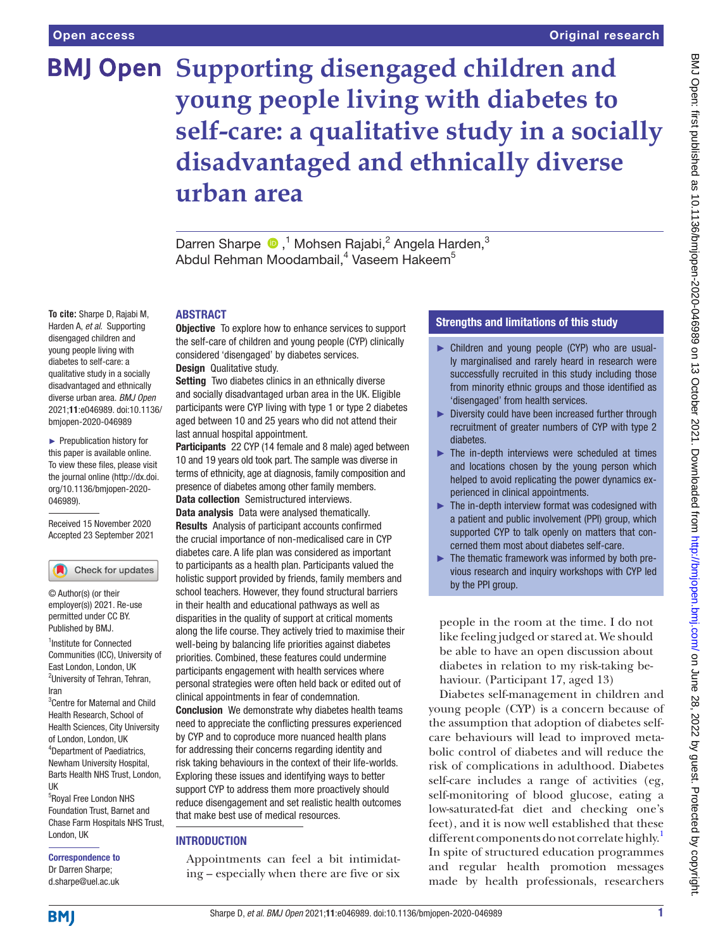**To cite:** Sharpe D, Rajabi M, Harden A, *et al*. Supporting disengaged children and young people living with diabetes to self-care: a qualitative study in a socially disadvantaged and ethnically diverse urban area. *BMJ Open* 2021;11:e046989. doi:10.1136/ bmjopen-2020-046989 ► Prepublication history for this paper is available online. To view these files, please visit the journal online [\(http://dx.doi.](http://dx.doi.org/10.1136/bmjopen-2020-046989) [org/10.1136/bmjopen-2020-](http://dx.doi.org/10.1136/bmjopen-2020-046989)

[046989\)](http://dx.doi.org/10.1136/bmjopen-2020-046989).

Received 15 November 2020 Accepted 23 September 2021

Check for updates

<sup>1</sup> Institute for Connected Communities (ICC), University of East London, London, UK <sup>2</sup>University of Tehran, Tehran,

© Author(s) (or their employer(s)) 2021. Re-use permitted under CC BY. Published by BMJ.

3 Centre for Maternal and Child Health Research, School of Health Sciences, City University of London, London, UK 4 Department of Paediatrics, Newham University Hospital, Barts Health NHS Trust, London,

5 Royal Free London NHS Foundation Trust, Barnet and Chase Farm Hospitals NHS Trust,

Iran

UK

# **BMJ Open Supporting disengaged children and young people living with diabetes to self-care: a qualitative study in a socially disadvantaged and ethnically diverse urban area**

DarrenSharpe <sup>®</sup>,<sup>1</sup> Mohsen Rajabi,<sup>2</sup> Angela Harden,<sup>3</sup> Abdul Rehman Moodambail,<sup>4</sup> Vaseem Hakeem<sup>5</sup>

#### ABSTRACT

**Objective** To explore how to enhance services to support the self-care of children and young people (CYP) clinically considered 'disengaged' by diabetes services. Design Qualitative study.

Setting Two diabetes clinics in an ethnically diverse and socially disadvantaged urban area in the UK. Eligible participants were CYP living with type 1 or type 2 diabetes aged between 10 and 25 years who did not attend their last annual hospital appointment.

Participants 22 CYP (14 female and 8 male) aged between 10 and 19 years old took part. The sample was diverse in terms of ethnicity, age at diagnosis, family composition and presence of diabetes among other family members. Data collection Semistructured interviews. Data analysis Data were analysed thematically. Results Analysis of participant accounts confirmed the crucial importance of non-medicalised care in CYP diabetes care. A life plan was considered as important to participants as a health plan. Participants valued the holistic support provided by friends, family members and school teachers. However, they found structural barriers in their health and educational pathways as well as disparities in the quality of support at critical moments along the life course. They actively tried to maximise their well-being by balancing life priorities against diabetes priorities. Combined, these features could undermine participants engagement with health services where personal strategies were often held back or edited out of clinical appointments in fear of condemnation. Conclusion We demonstrate why diabetes health teams need to appreciate the conflicting pressures experienced by CYP and to coproduce more nuanced health plans for addressing their concerns regarding identity and risk taking behaviours in the context of their life-worlds. Exploring these issues and identifying ways to better support CYP to address them more proactively should reduce disengagement and set realistic health outcomes

#### **INTRODUCTION**

Appointments can feel a bit intimidating – especially when there are five or six

that make best use of medical resources.

#### Strengths and limitations of this study

- ► Children and young people (CYP) who are usually marginalised and rarely heard in research were successfully recruited in this study including those from minority ethnic groups and those identified as 'disengaged' from health services.
- ► Diversity could have been increased further through recruitment of greater numbers of CYP with type 2 diabetes.
- $\blacktriangleright$  The in-depth interviews were scheduled at times and locations chosen by the young person which helped to avoid replicating the power dynamics experienced in clinical appointments.
- ► The in-depth interview format was codesigned with a patient and public involvement (PPI) group, which supported CYP to talk openly on matters that concerned them most about diabetes self-care.
- ► The thematic framework was informed by both previous research and inquiry workshops with CYP led by the PPI group.

people in the room at the time. I do not like feeling judged or stared at. We should be able to have an open discussion about diabetes in relation to my risk-taking behaviour. (Participant 17, aged 13)

Diabetes self-management in children and young people (CYP) is a concern because of the assumption that adoption of diabetes selfcare behaviours will lead to improved metabolic control of diabetes and will reduce the risk of complications in adulthood. Diabetes self-care includes a range of activities (eg, self-monitoring of blood glucose, eating a low-saturated-fat diet and checking one's feet), and it is now well established that these different components do not correlate highly.<sup>[1](#page-7-0)</sup> In spite of structured education programmes and regular health promotion messages made by health professionals, researchers

#### Correspondence to Dr Darren Sharpe; d.sharpe@uel.ac.uk

London, UK

**BMI**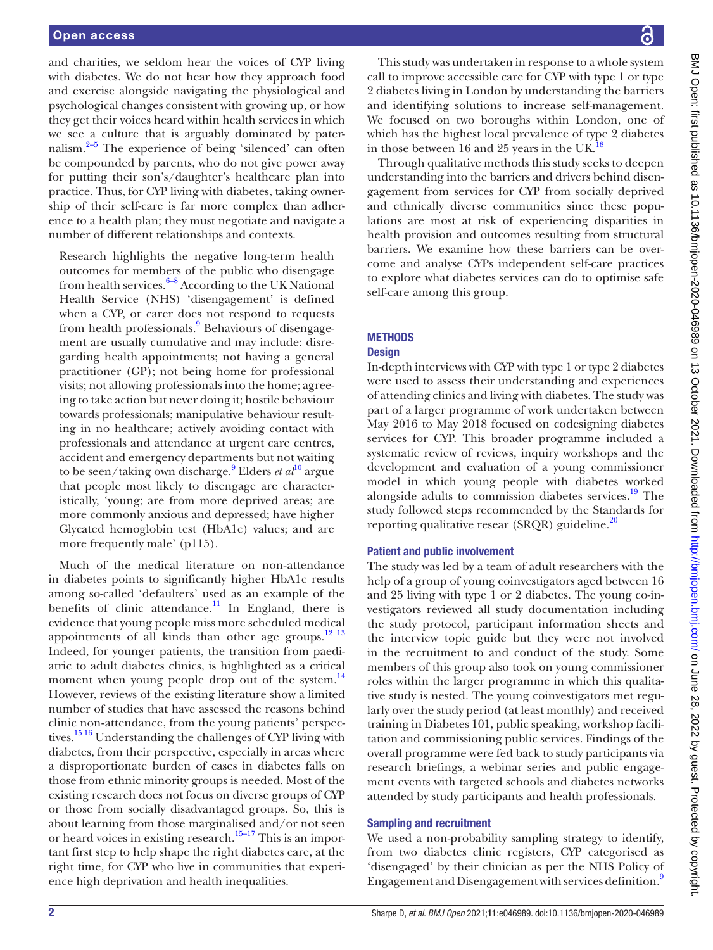and charities, we seldom hear the voices of CYP living with diabetes. We do not hear how they approach food and exercise alongside navigating the physiological and psychological changes consistent with growing up, or how they get their voices heard within health services in which we see a culture that is arguably dominated by paternalism. $2-5$  The experience of being 'silenced' can often be compounded by parents, who do not give power away for putting their son's/daughter's healthcare plan into practice. Thus, for CYP living with diabetes, taking ownership of their self-care is far more complex than adherence to a health plan; they must negotiate and navigate a number of different relationships and contexts.

Research highlights the negative long-term health outcomes for members of the public who disengage from health services. $6-8$  According to the UK National Health Service (NHS) 'disengagement' is defined when a CYP, or carer does not respond to requests from health professionals.<sup>[9](#page-7-3)</sup> Behaviours of disengagement are usually cumulative and may include: disregarding health appointments; not having a general practitioner (GP); not being home for professional visits; not allowing professionals into the home; agreeing to take action but never doing it; hostile behaviour towards professionals; manipulative behaviour resulting in no healthcare; actively avoiding contact with professionals and attendance at urgent care centres, accident and emergency departments but not waiting to be seen/taking own discharge.<sup>[9](#page-7-3)</sup> Elders *et al*<sup>[10](#page-7-4)</sup> argue that people most likely to disengage are characteristically, 'young; are from more deprived areas; are more commonly anxious and depressed; have higher Glycated hemoglobin test (HbA1c) values; and are more frequently male' (p115).

Much of the medical literature on non‐attendance in diabetes points to significantly higher HbA1c results among so-called 'defaulters' used as an example of the benefits of clinic attendance.<sup>11</sup> In England, there is evidence that young people miss more scheduled medical appointments of all kinds than other age groups. $12 \frac{13}{13}$ Indeed, for younger patients, the transition from paediatric to adult diabetes clinics, is highlighted as a critical moment when young people drop out of the system.<sup>[14](#page-7-7)</sup> However, reviews of the existing literature show a limited number of studies that have assessed the reasons behind clinic non‐attendance, from the young patients' perspectives.[15 16](#page-7-8) Understanding the challenges of CYP living with diabetes, from their perspective, especially in areas where a disproportionate burden of cases in diabetes falls on those from ethnic minority groups is needed. Most of the existing research does not focus on diverse groups of CYP or those from socially disadvantaged groups. So, this is about learning from those marginalised and/or not seen or heard voices in existing research.<sup>15–17</sup> This is an important first step to help shape the right diabetes care, at the right time, for CYP who live in communities that experience high deprivation and health inequalities.

BMJ Open: first published as 10.1136/bmjopen-2020-046989 on 13 October 2021. Downloaded from http://bmjopen.bmj.com/ on June 28, 2022 by guest. Protected by copyright BMJ Open: first published as 10.1136/bmjopen-2020-046989 on 13 October 2021. Downloaded from <http://bmjopen.bmj.com/> on June 28, 2022 by guest. Protected by copyright.

This study was undertaken in response to a whole system call to improve accessible care for CYP with type 1 or type 2 diabetes living in London by understanding the barriers and identifying solutions to increase self-management. We focused on two boroughs within London, one of which has the highest local prevalence of type 2 diabetes in those between 16 and 25 years in the UK.<sup>1</sup>

Through qualitative methods this study seeks to deepen understanding into the barriers and drivers behind disengagement from services for CYP from socially deprived and ethnically diverse communities since these populations are most at risk of experiencing disparities in health provision and outcomes resulting from structural barriers. We examine how these barriers can be overcome and analyse CYPs independent self-care practices to explore what diabetes services can do to optimise safe self-care among this group.

# **METHODS**

# **Design**

In-depth interviews with CYP with type 1 or type 2 diabetes were used to assess their understanding and experiences of attending clinics and living with diabetes. The study was part of a larger programme of work undertaken between May 2016 to May 2018 focused on codesigning diabetes services for CYP. This broader programme included a systematic review of reviews, inquiry workshops and the development and evaluation of a young commissioner model in which young people with diabetes worked alongside adults to commission diabetes services.<sup>19</sup> The study followed steps recommended by the Standards for reporting qualitative resear (SRQR) guideline.<sup>20</sup>

# Patient and public involvement

The study was led by a team of adult researchers with the help of a group of young coinvestigators aged between 16 and 25 living with type 1 or 2 diabetes. The young co-investigators reviewed all study documentation including the study protocol, participant information sheets and the interview topic guide but they were not involved in the recruitment to and conduct of the study. Some members of this group also took on young commissioner roles within the larger programme in which this qualitative study is nested. The young coinvestigators met regularly over the study period (at least monthly) and received training in Diabetes 101, public speaking, workshop facilitation and commissioning public services. Findings of the overall programme were fed back to study participants via research briefings, a webinar series and public engagement events with targeted schools and diabetes networks attended by study participants and health professionals.

# Sampling and recruitment

We used a non-probability sampling strategy to identify, from two diabetes clinic registers, CYP categorised as 'disengaged' by their clinician as per the NHS Policy of Engagement and Disengagement with services definition.<sup>9</sup>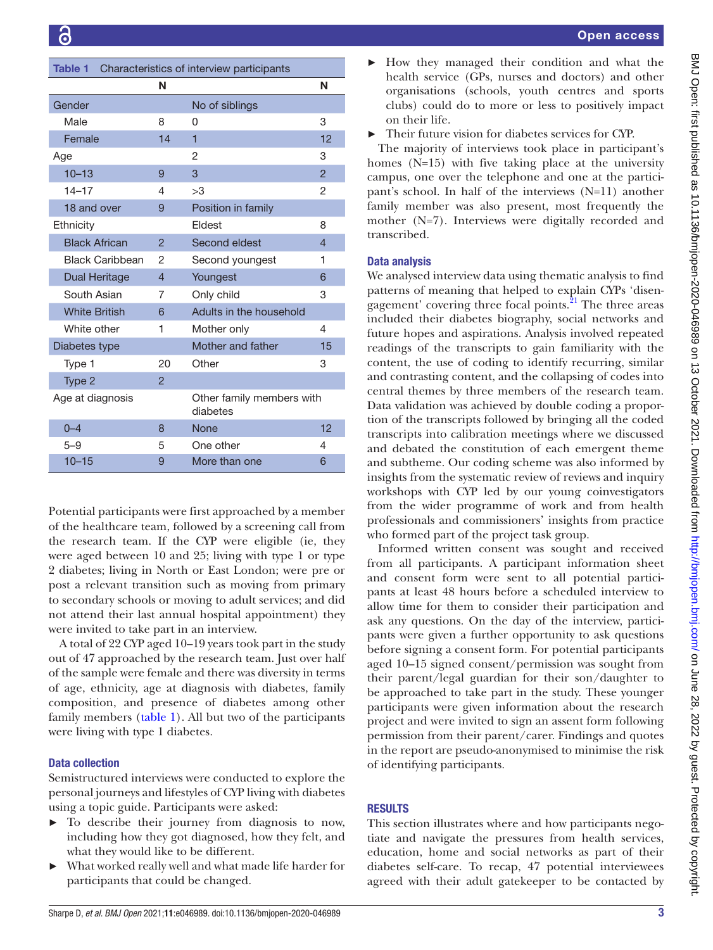<span id="page-2-0"></span>

| Table 1<br>Characteristics of interview participants |                |                                       |                |
|------------------------------------------------------|----------------|---------------------------------------|----------------|
|                                                      | N              |                                       | N              |
| Gender                                               |                | No of siblings                        |                |
| Male                                                 | 8              | O                                     | 3              |
| Female                                               | 14             | 1                                     | 12             |
| Age                                                  |                | $\mathcal{P}$                         | 3              |
| $10 - 13$                                            | 9              | 3                                     | $\overline{2}$ |
| $14 - 17$                                            | 4              | >3                                    | 2              |
| 18 and over                                          | 9              | Position in family                    |                |
| Ethnicity                                            |                | <b>Fidest</b>                         | 8              |
| <b>Black African</b>                                 | $\mathcal{P}$  | Second eldest                         | $\overline{4}$ |
| <b>Black Caribbean</b>                               | 2              | Second youngest                       | 1              |
| Dual Heritage                                        | $\overline{4}$ | Youngest                              | 6              |
| South Asian                                          | 7              | Only child                            | 3              |
| <b>White British</b>                                 | 6              | Adults in the household               |                |
| White other                                          | 1              | Mother only                           | 4              |
| Diabetes type                                        |                | Mother and father                     | 15             |
| Type 1                                               | 20             | Other                                 | 3              |
| Type 2                                               | $\overline{2}$ |                                       |                |
| Age at diagnosis                                     |                | Other family members with<br>diabetes |                |
| $0 - 4$                                              | 8              | <b>None</b>                           | 12             |
| $5 - 9$                                              | 5              | One other                             | 4              |
| $10 - 15$                                            | 9              | More than one                         | 6              |

Potential participants were first approached by a member of the healthcare team, followed by a screening call from the research team. If the CYP were eligible (ie, they were aged between 10 and 25; living with type 1 or type 2 diabetes; living in North or East London; were pre or post a relevant transition such as moving from primary to secondary schools or moving to adult services; and did not attend their last annual hospital appointment) they were invited to take part in an interview.

A total of 22 CYP aged 10–19 years took part in the study out of 47 approached by the research team. Just over half of the sample were female and there was diversity in terms of age, ethnicity, age at diagnosis with diabetes, family composition, and presence of diabetes among other family members ([table](#page-2-0) 1). All but two of the participants were living with type 1 diabetes.

### Data collection

Semistructured interviews were conducted to explore the personal journeys and lifestyles of CYP living with diabetes using a topic guide. Participants were asked:

- ► To describe their journey from diagnosis to now, including how they got diagnosed, how they felt, and what they would like to be different.
- ► What worked really well and what made life harder for participants that could be changed.

► How they managed their condition and what the health service (GPs, nurses and doctors) and other organisations (schools, youth centres and sports clubs) could do to more or less to positively impact on their life.

Their future vision for diabetes services for CYP.

The majority of interviews took place in participant's homes (N=15) with five taking place at the university campus, one over the telephone and one at the participant's school. In half of the interviews (N=11) another family member was also present, most frequently the mother (N=7). Interviews were digitally recorded and transcribed.

#### Data analysis

We analysed interview data using thematic analysis to find patterns of meaning that helped to explain CYPs 'disengagement' covering three focal points. $^{21}$  The three areas included their diabetes biography, social networks and future hopes and aspirations. Analysis involved repeated readings of the transcripts to gain familiarity with the content, the use of coding to identify recurring, similar and contrasting content, and the collapsing of codes into central themes by three members of the research team. Data validation was achieved by double coding a proportion of the transcripts followed by bringing all the coded transcripts into calibration meetings where we discussed and debated the constitution of each emergent theme and subtheme. Our coding scheme was also informed by insights from the systematic review of reviews and inquiry workshops with CYP led by our young coinvestigators from the wider programme of work and from health professionals and commissioners' insights from practice who formed part of the project task group.

Informed written consent was sought and received from all participants. A participant information sheet and consent form were sent to all potential participants at least 48 hours before a scheduled interview to allow time for them to consider their participation and ask any questions. On the day of the interview, participants were given a further opportunity to ask questions before signing a consent form. For potential participants aged 10–15 signed consent/permission was sought from their parent/legal guardian for their son/daughter to be approached to take part in the study. These younger participants were given information about the research project and were invited to sign an assent form following permission from their parent/carer. Findings and quotes in the report are pseudo-anonymised to minimise the risk of identifying participants.

### RESULTS

This section illustrates where and how participants negotiate and navigate the pressures from health services, education, home and social networks as part of their diabetes self-care. To recap, 47 potential interviewees agreed with their adult gatekeeper to be contacted by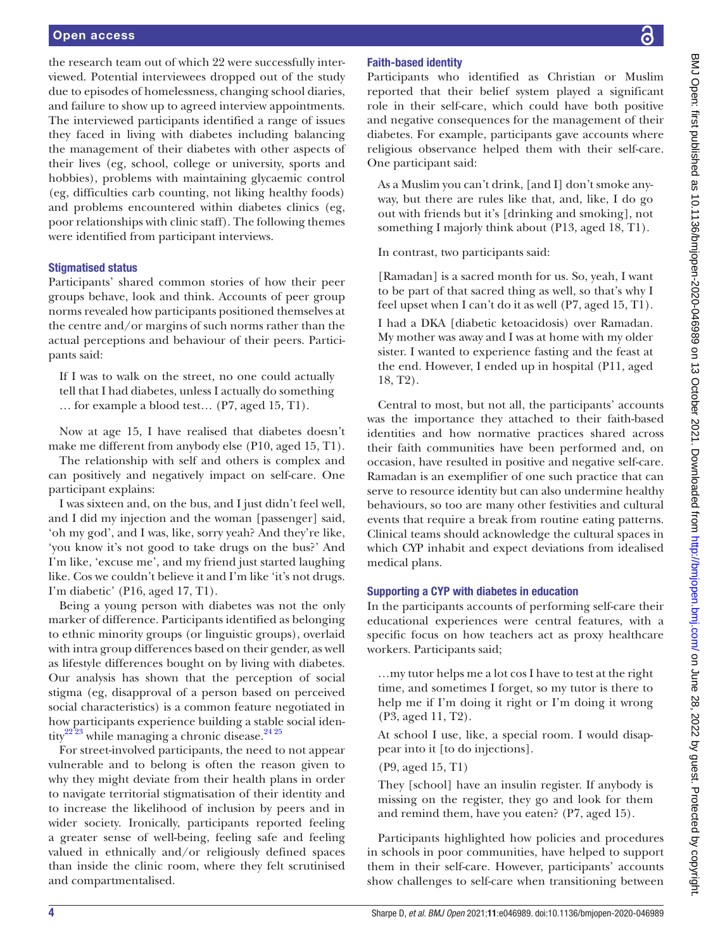#### Open access

the research team out of which 22 were successfully interviewed. Potential interviewees dropped out of the study due to episodes of homelessness, changing school diaries, and failure to show up to agreed interview appointments. The interviewed participants identified a range of issues they faced in living with diabetes including balancing the management of their diabetes with other aspects of their lives (eg, school, college or university, sports and hobbies), problems with maintaining glycaemic control (eg, difficulties carb counting, not liking healthy foods) and problems encountered within diabetes clinics (eg, poor relationships with clinic staff). The following themes were identified from participant interviews.

#### Stigmatised status

Participants' shared common stories of how their peer groups behave, look and think. Accounts of peer group norms revealed how participants positioned themselves at the centre and/or margins of such norms rather than the actual perceptions and behaviour of their peers. Participants said:

If I was to walk on the street, no one could actually tell that I had diabetes, unless I actually do something … for example a blood test… (P7, aged 15, T1).

Now at age 15, I have realised that diabetes doesn't make me different from anybody else (P10, aged 15, T1).

The relationship with self and others is complex and can positively and negatively impact on self-care. One participant explains:

I was sixteen and, on the bus, and I just didn't feel well, and I did my injection and the woman [passenger] said, 'oh my god', and I was, like, sorry yeah? And they're like, 'you know it's not good to take drugs on the bus?' And I'm like, 'excuse me', and my friend just started laughing like. Cos we couldn't believe it and I'm like 'it's not drugs. I'm diabetic' (P16, aged 17, T1).

Being a young person with diabetes was not the only marker of difference. Participants identified as belonging to ethnic minority groups (or linguistic groups), overlaid with intra group differences based on their gender, as well as lifestyle differences bought on by living with diabetes. Our analysis has shown that the perception of social stigma (eg, disapproval of a person based on perceived social characteristics) is a common feature negotiated in how participants experience building a stable social iden-tity<sup>[22 23](#page-7-13)</sup> while managing a chronic disease.<sup>24 25</sup>

For street-involved participants, the need to not appear vulnerable and to belong is often the reason given to why they might deviate from their health plans in order to navigate territorial stigmatisation of their identity and to increase the likelihood of inclusion by peers and in wider society. Ironically, participants reported feeling a greater sense of well-being, feeling safe and feeling valued in ethnically and/or religiously defined spaces than inside the clinic room, where they felt scrutinised and compartmentalised.

## Faith-based identity

Participants who identified as Christian or Muslim reported that their belief system played a significant role in their self-care, which could have both positive and negative consequences for the management of their diabetes. For example, participants gave accounts where religious observance helped them with their self-care. One participant said:

As a Muslim you can't drink, [and I] don't smoke anyway, but there are rules like that, and, like, I do go out with friends but it's [drinking and smoking], not something I majorly think about (P13, aged 18, T1).

In contrast, two participants said:

[Ramadan] is a sacred month for us. So, yeah, I want to be part of that sacred thing as well, so that's why I feel upset when I can't do it as well (P7, aged 15, T1). I had a DKA [diabetic ketoacidosis) over Ramadan. My mother was away and I was at home with my older sister. I wanted to experience fasting and the feast at the end. However, I ended up in hospital (P11, aged 18, T2).

Central to most, but not all, the participants' accounts was the importance they attached to their faith-based identities and how normative practices shared across their faith communities have been performed and, on occasion, have resulted in positive and negative self-care. Ramadan is an exemplifier of one such practice that can serve to resource identity but can also undermine healthy behaviours, so too are many other festivities and cultural events that require a break from routine eating patterns. Clinical teams should acknowledge the cultural spaces in which CYP inhabit and expect deviations from idealised medical plans.

#### Supporting a CYP with diabetes in education

In the participants accounts of performing self-care their educational experiences were central features, with a specific focus on how teachers act as proxy healthcare workers. Participants said;

…my tutor helps me a lot cos I have to test at the right time, and sometimes I forget, so my tutor is there to help me if I'm doing it right or I'm doing it wrong (P3, aged 11, T2).

At school I use, like, a special room. I would disappear into it [to do injections].

(P9, aged 15, T1)

They [school] have an insulin register. If anybody is missing on the register, they go and look for them and remind them, have you eaten? (P7, aged 15).

Participants highlighted how policies and procedures in schools in poor communities, have helped to support them in their self-care. However, participants' accounts show challenges to self-care when transitioning between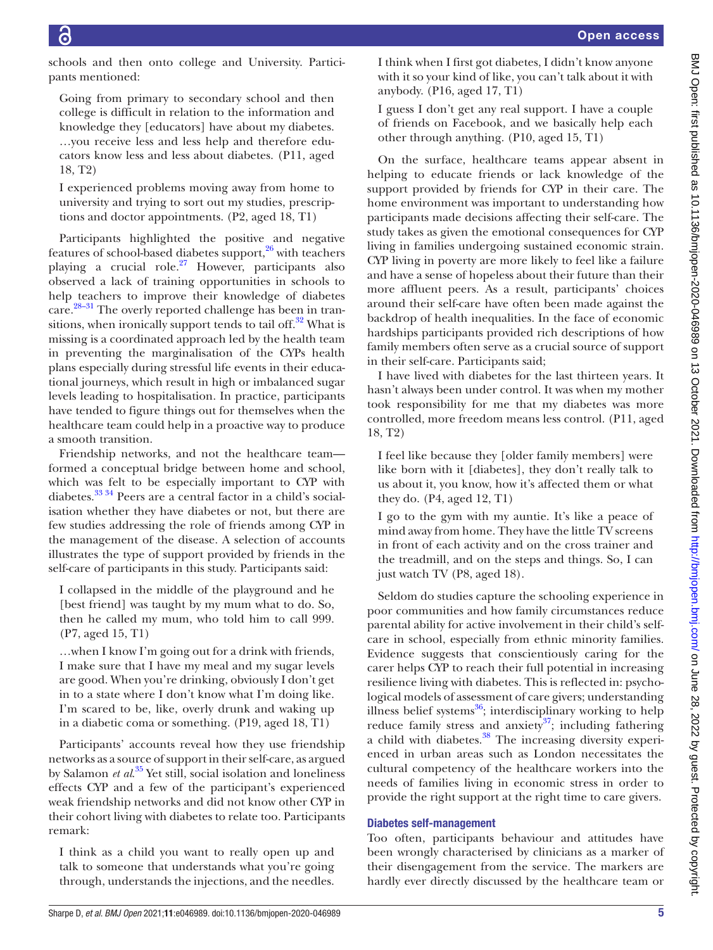schools and then onto college and University. Participants mentioned:

Going from primary to secondary school and then college is difficult in relation to the information and knowledge they [educators] have about my diabetes. …you receive less and less help and therefore educators know less and less about diabetes. (P11, aged 18, T2)

I experienced problems moving away from home to university and trying to sort out my studies, prescriptions and doctor appointments. (P2, aged 18, T1)

Participants highlighted the positive and negative features of school-based diabetes support,<sup>26</sup> with teachers playing a crucial role.<sup>27</sup> However, participants also observed a lack of training opportunities in schools to help teachers to improve their knowledge of diabetes care[.28–31](#page-7-17) The overly reported challenge has been in transitions, when ironically support tends to tail off. $32$  What is missing is a coordinated approach led by the health team in preventing the marginalisation of the CYPs health plans especially during stressful life events in their educational journeys, which result in high or imbalanced sugar levels leading to hospitalisation. In practice, participants have tended to figure things out for themselves when the healthcare team could help in a proactive way to produce a smooth transition.

Friendship networks, and not the healthcare team formed a conceptual bridge between home and school, which was felt to be especially important to CYP with diabetes.[33 34](#page-7-19) Peers are a central factor in a child's socialisation whether they have diabetes or not, but there are few studies addressing the role of friends among CYP in the management of the disease. A selection of accounts illustrates the type of support provided by friends in the self-care of participants in this study. Participants said:

I collapsed in the middle of the playground and he [best friend] was taught by my mum what to do. So, then he called my mum, who told him to call 999. (P7, aged 15, T1)

…when I know I'm going out for a drink with friends, I make sure that I have my meal and my sugar levels are good. When you're drinking, obviously I don't get in to a state where I don't know what I'm doing like. I'm scared to be, like, overly drunk and waking up in a diabetic coma or something. (P19, aged 18, T1)

Participants' accounts reveal how they use friendship networks as a source of support in their self-care, as argued by Salamon *et al*. [35](#page-7-20) Yet still, social isolation and loneliness effects CYP and a few of the participant's experienced weak friendship networks and did not know other CYP in their cohort living with diabetes to relate too. Participants remark:

I think as a child you want to really open up and talk to someone that understands what you're going through, understands the injections, and the needles. I think when I first got diabetes, I didn't know anyone with it so your kind of like, you can't talk about it with anybody. (P16, aged 17, T1)

I guess I don't get any real support. I have a couple of friends on Facebook, and we basically help each other through anything. (P10, aged 15, T1)

On the surface, healthcare teams appear absent in helping to educate friends or lack knowledge of the support provided by friends for CYP in their care. The home environment was important to understanding how participants made decisions affecting their self-care. The study takes as given the emotional consequences for CYP living in families undergoing sustained economic strain. CYP living in poverty are more likely to feel like a failure and have a sense of hopeless about their future than their more affluent peers. As a result, participants' choices around their self-care have often been made against the backdrop of health inequalities. In the face of economic hardships participants provided rich descriptions of how family members often serve as a crucial source of support in their self-care. Participants said;

I have lived with diabetes for the last thirteen years. It hasn't always been under control. It was when my mother took responsibility for me that my diabetes was more controlled, more freedom means less control. (P11, aged 18, T2)

I feel like because they [older family members] were like born with it [diabetes], they don't really talk to us about it, you know, how it's affected them or what they do. (P4, aged 12, T1)

I go to the gym with my auntie. It's like a peace of mind away from home. They have the little TV screens in front of each activity and on the cross trainer and the treadmill, and on the steps and things. So, I can just watch TV (P8, aged 18).

Seldom do studies capture the schooling experience in poor communities and how family circumstances reduce parental ability for active involvement in their child's selfcare in school, especially from ethnic minority families. Evidence suggests that conscientiously caring for the carer helps CYP to reach their full potential in increasing resilience living with diabetes. This is reflected in: psychological models of assessment of care givers; understanding illness belief systems<sup>36</sup>; interdisciplinary working to help reduce family stress and anxiety<sup>37</sup>; including fathering a child with diabetes.<sup>38</sup> The increasing diversity experienced in urban areas such as London necessitates the cultural competency of the healthcare workers into the needs of families living in economic stress in order to provide the right support at the right time to care givers.

# Diabetes self-management

Too often, participants behaviour and attitudes have been wrongly characterised by clinicians as a marker of their disengagement from the service. The markers are hardly ever directly discussed by the healthcare team or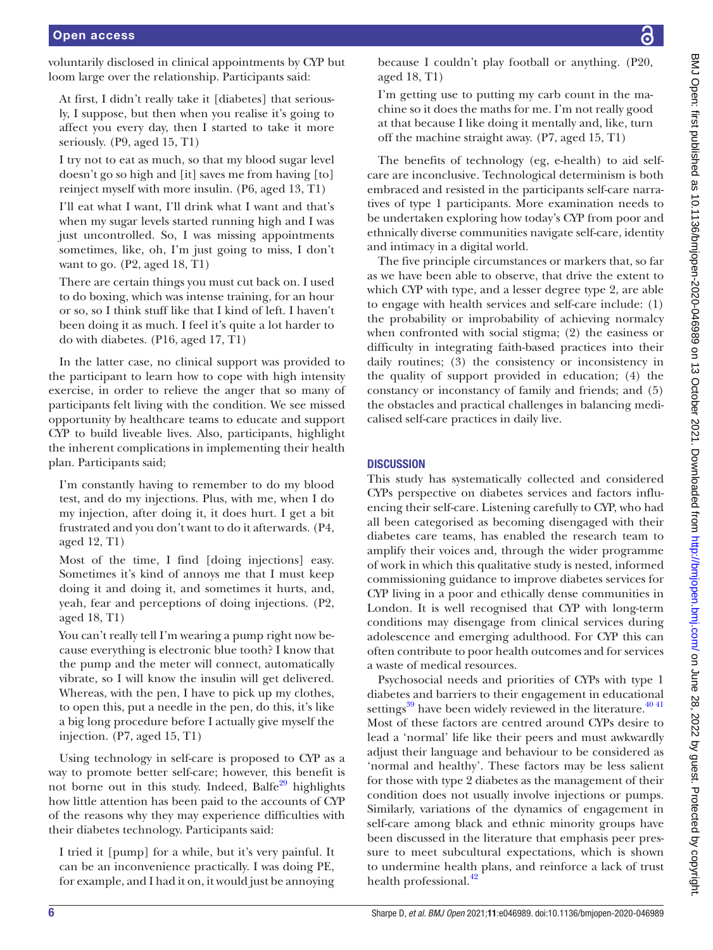voluntarily disclosed in clinical appointments by CYP but loom large over the relationship. Participants said:

At first, I didn't really take it [diabetes] that seriously, I suppose, but then when you realise it's going to affect you every day, then I started to take it more seriously. (P9, aged 15, T1)

I try not to eat as much, so that my blood sugar level doesn't go so high and [it] saves me from having [to] reinject myself with more insulin. (P6, aged 13, T1)

I'll eat what I want, I'll drink what I want and that's when my sugar levels started running high and I was just uncontrolled. So, I was missing appointments sometimes, like, oh, I'm just going to miss, I don't want to go. (P2, aged 18, T1)

There are certain things you must cut back on. I used to do boxing, which was intense training, for an hour or so, so I think stuff like that I kind of left. I haven't been doing it as much. I feel it's quite a lot harder to do with diabetes. (P16, aged 17, T1)

In the latter case, no clinical support was provided to the participant to learn how to cope with high intensity exercise, in order to relieve the anger that so many of participants felt living with the condition. We see missed opportunity by healthcare teams to educate and support CYP to build liveable lives. Also, participants, highlight the inherent complications in implementing their health plan. Participants said;

I'm constantly having to remember to do my blood test, and do my injections. Plus, with me, when I do my injection, after doing it, it does hurt. I get a bit frustrated and you don't want to do it afterwards. (P4, aged 12, T1)

Most of the time, I find [doing injections] easy. Sometimes it's kind of annoys me that I must keep doing it and doing it, and sometimes it hurts, and, yeah, fear and perceptions of doing injections. (P2, aged 18, T1)

You can't really tell I'm wearing a pump right now because everything is electronic blue tooth? I know that the pump and the meter will connect, automatically vibrate, so I will know the insulin will get delivered. Whereas, with the pen, I have to pick up my clothes, to open this, put a needle in the pen, do this, it's like a big long procedure before I actually give myself the injection. (P7, aged 15, T1)

Using technology in self-care is proposed to CYP as a way to promote better self-care; however, this benefit is not borne out in this study. Indeed, Balfe<sup>[29](#page-7-24)</sup> highlights how little attention has been paid to the accounts of CYP of the reasons why they may experience difficulties with their diabetes technology. Participants said:

I tried it [pump] for a while, but it's very painful. It can be an inconvenience practically. I was doing PE, for example, and I had it on, it would just be annoying

because I couldn't play football or anything. (P20, aged 18, T1)

I'm getting use to putting my carb count in the machine so it does the maths for me. I'm not really good at that because I like doing it mentally and, like, turn off the machine straight away. (P7, aged 15, T1)

The benefits of technology (eg, e-health) to aid selfcare are inconclusive. Technological determinism is both embraced and resisted in the participants self-care narratives of type 1 participants. More examination needs to be undertaken exploring how today's CYP from poor and ethnically diverse communities navigate self-care, identity and intimacy in a digital world.

The five principle circumstances or markers that, so far as we have been able to observe, that drive the extent to which CYP with type, and a lesser degree type 2, are able to engage with health services and self-care include: (1) the probability or improbability of achieving normalcy when confronted with social stigma; (2) the easiness or difficulty in integrating faith-based practices into their daily routines; (3) the consistency or inconsistency in the quality of support provided in education; (4) the constancy or inconstancy of family and friends; and (5) the obstacles and practical challenges in balancing medicalised self-care practices in daily live.

### **DISCUSSION**

This study has systematically collected and considered CYPs perspective on diabetes services and factors influencing their self-care. Listening carefully to CYP, who had all been categorised as becoming disengaged with their diabetes care teams, has enabled the research team to amplify their voices and, through the wider programme of work in which this qualitative study is nested, informed commissioning guidance to improve diabetes services for CYP living in a poor and ethically dense communities in London. It is well recognised that CYP with long-term conditions may disengage from clinical services during adolescence and emerging adulthood. For CYP this can often contribute to poor health outcomes and for services a waste of medical resources.

Psychosocial needs and priorities of CYPs with type 1 diabetes and barriers to their engagement in educational settings $39$  have been widely reviewed in the literature.<sup>4041</sup> Most of these factors are centred around CYPs desire to lead a 'normal' life like their peers and must awkwardly adjust their language and behaviour to be considered as 'normal and healthy'. These factors may be less salient for those with type 2 diabetes as the management of their condition does not usually involve injections or pumps. Similarly, variations of the dynamics of engagement in self-care among black and ethnic minority groups have been discussed in the literature that emphasis peer pressure to meet subcultural expectations, which is shown to undermine health plans, and reinforce a lack of trust health professional.<sup>[42](#page-7-27)</sup>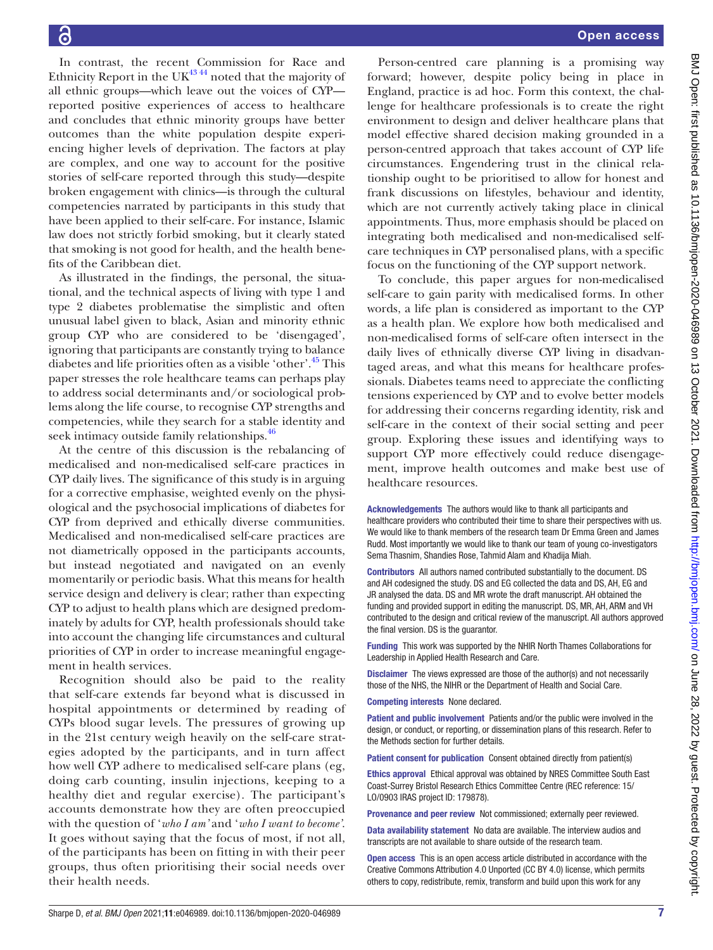In contrast, the recent Commission for Race and Ethnicity Report in the UK $^{43\,44}$  noted that the majority of all ethnic groups—which leave out the voices of CYP reported positive experiences of access to healthcare and concludes that ethnic minority groups have better outcomes than the white population despite experiencing higher levels of deprivation. The factors at play are complex, and one way to account for the positive stories of self-care reported through this study—despite broken engagement with clinics—is through the cultural competencies narrated by participants in this study that have been applied to their self-care. For instance, Islamic law does not strictly forbid smoking, but it clearly stated that smoking is not good for health, and the health benefits of the Caribbean diet.

As illustrated in the findings, the personal, the situational, and the technical aspects of living with type 1 and type 2 diabetes problematise the simplistic and often unusual label given to black, Asian and minority ethnic group CYP who are considered to be 'disengaged', ignoring that participants are constantly trying to balance diabetes and life priorities often as a visible 'other'.[45](#page-7-29) This paper stresses the role healthcare teams can perhaps play to address social determinants and/or sociological problems along the life course, to recognise CYP strengths and competencies, while they search for a stable identity and seek intimacy outside family relationships.<sup>46</sup>

At the centre of this discussion is the rebalancing of medicalised and non-medicalised self-care practices in CYP daily lives. The significance of this study is in arguing for a corrective emphasise, weighted evenly on the physiological and the psychosocial implications of diabetes for CYP from deprived and ethically diverse communities. Medicalised and non-medicalised self-care practices are not diametrically opposed in the participants accounts, but instead negotiated and navigated on an evenly momentarily or periodic basis. What this means for health service design and delivery is clear; rather than expecting CYP to adjust to health plans which are designed predominately by adults for CYP, health professionals should take into account the changing life circumstances and cultural priorities of CYP in order to increase meaningful engagement in health services.

Recognition should also be paid to the reality that self-care extends far beyond what is discussed in hospital appointments or determined by reading of CYPs blood sugar levels. The pressures of growing up in the 21st century weigh heavily on the self-care strategies adopted by the participants, and in turn affect how well CYP adhere to medicalised self-care plans (eg, doing carb counting, insulin injections, keeping to a healthy diet and regular exercise). The participant's accounts demonstrate how they are often preoccupied with the question of '*who I am'* and '*who I want to become'*. It goes without saying that the focus of most, if not all, of the participants has been on fitting in with their peer groups, thus often prioritising their social needs over their health needs.

Person-centred care planning is a promising way forward; however, despite policy being in place in England, practice is ad hoc. Form this context, the challenge for healthcare professionals is to create the right environment to design and deliver healthcare plans that model effective shared decision making grounded in a person-centred approach that takes account of CYP life circumstances. Engendering trust in the clinical relationship ought to be prioritised to allow for honest and frank discussions on lifestyles, behaviour and identity, which are not currently actively taking place in clinical appointments. Thus, more emphasis should be placed on integrating both medicalised and non-medicalised selfcare techniques in CYP personalised plans, with a specific focus on the functioning of the CYP support network.

To conclude, this paper argues for non-medicalised self-care to gain parity with medicalised forms. In other words, a life plan is considered as important to the CYP as a health plan. We explore how both medicalised and non-medicalised forms of self-care often intersect in the daily lives of ethnically diverse CYP living in disadvantaged areas, and what this means for healthcare professionals. Diabetes teams need to appreciate the conflicting tensions experienced by CYP and to evolve better models for addressing their concerns regarding identity, risk and self-care in the context of their social setting and peer group. Exploring these issues and identifying ways to support CYP more effectively could reduce disengagement, improve health outcomes and make best use of healthcare resources.

Acknowledgements The authors would like to thank all participants and healthcare providers who contributed their time to share their perspectives with us. We would like to thank members of the research team Dr Emma Green and James Rudd. Most importantly we would like to thank our team of young co-investigators Sema Thasnim, Shandies Rose, Tahmid Alam and Khadija Miah.

Contributors All authors named contributed substantially to the document. DS and AH codesigned the study. DS and EG collected the data and DS, AH, EG and JR analysed the data. DS and MR wrote the draft manuscript. AH obtained the funding and provided support in editing the manuscript. DS, MR, AH, ARM and VH contributed to the design and critical review of the manuscript. All authors approved the final version. DS is the guarantor.

Funding This work was supported by the NHIR North Thames Collaborations for Leadership in Applied Health Research and Care.

Disclaimer The views expressed are those of the author(s) and not necessarily those of the NHS, the NIHR or the Department of Health and Social Care.

Competing interests None declared.

Patient and public involvement Patients and/or the public were involved in the design, or conduct, or reporting, or dissemination plans of this research. Refer to the Methods section for further details.

Patient consent for publication Consent obtained directly from patient(s)

Ethics approval Ethical approval was obtained by NRES Committee South East Coast-Surrey Bristol Research Ethics Committee Centre (REC reference: 15/ LO/0903 IRAS project ID: 179878).

Provenance and peer review Not commissioned; externally peer reviewed.

Data availability statement No data are available. The interview audios and transcripts are not available to share outside of the research team.

Open access This is an open access article distributed in accordance with the Creative Commons Attribution 4.0 Unported (CC BY 4.0) license, which permits others to copy, redistribute, remix, transform and build upon this work for any